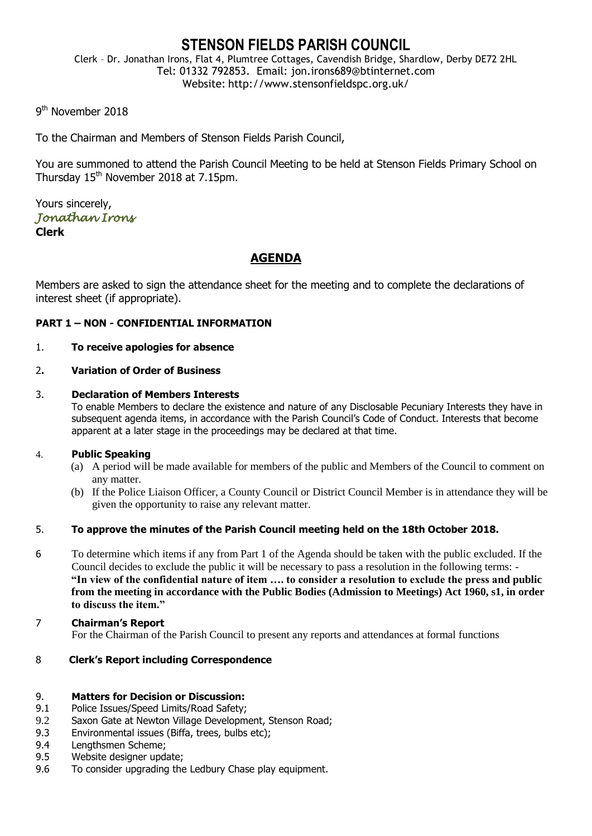# **STENSON FIELDS PARISH COUNCIL**

Clerk – Dr. Jonathan Irons, Flat 4, Plumtree Cottages, Cavendish Bridge, Shardlow, Derby DE72 2HL Tel: 01332 792853. Email: jon.irons689@btinternet.com Website: http://www.stensonfieldspc.org.uk/

9<sup>th</sup> November 2018

To the Chairman and Members of Stenson Fields Parish Council,

You are summoned to attend the Parish Council Meeting to be held at Stenson Fields Primary School on Thursday 15<sup>th</sup> November 2018 at 7.15pm.

Yours sincerely, *Jonathan Irons*  **Clerk**

# **AGENDA**

Members are asked to sign the attendance sheet for the meeting and to complete the declarations of interest sheet (if appropriate).

# **PART 1 – NON - CONFIDENTIAL INFORMATION**

### 1. **To receive apologies for absence**

### 2**. Variation of Order of Business**

### 3. **Declaration of Members Interests**

To enable Members to declare the existence and nature of any Disclosable Pecuniary Interests they have in subsequent agenda items, in accordance with the Parish Council's Code of Conduct. Interests that become apparent at a later stage in the proceedings may be declared at that time.

#### 4. **Public Speaking**

- (a) A period will be made available for members of the public and Members of the Council to comment on any matter.
- (b) If the Police Liaison Officer, a County Council or District Council Member is in attendance they will be given the opportunity to raise any relevant matter.

# 5. **To approve the minutes of the Parish Council meeting held on the 18th October 2018.**

- 6 To determine which items if any from Part 1 of the Agenda should be taken with the public excluded. If the Council decides to exclude the public it will be necessary to pass a resolution in the following terms: - **"In view of the confidential nature of item …. to consider a resolution to exclude the press and public from the meeting in accordance with the Public Bodies (Admission to Meetings) Act 1960, s1, in order to discuss the item."**
- 7 **Chairman's Report** For the Chairman of the Parish Council to present any reports and attendances at formal functions

# 8 **Clerk's Report including Correspondence**

#### 9. **Matters for Decision or Discussion:**

- 9.1 Police Issues/Speed Limits/Road Safety;
- 9.2 Saxon Gate at Newton Village Development, Stenson Road;
- 9.3 Environmental issues (Biffa, trees, bulbs etc);
- 9.4 Lengthsmen Scheme;
- 9.5 Website designer update;
- 9.6 To consider upgrading the Ledbury Chase play equipment.